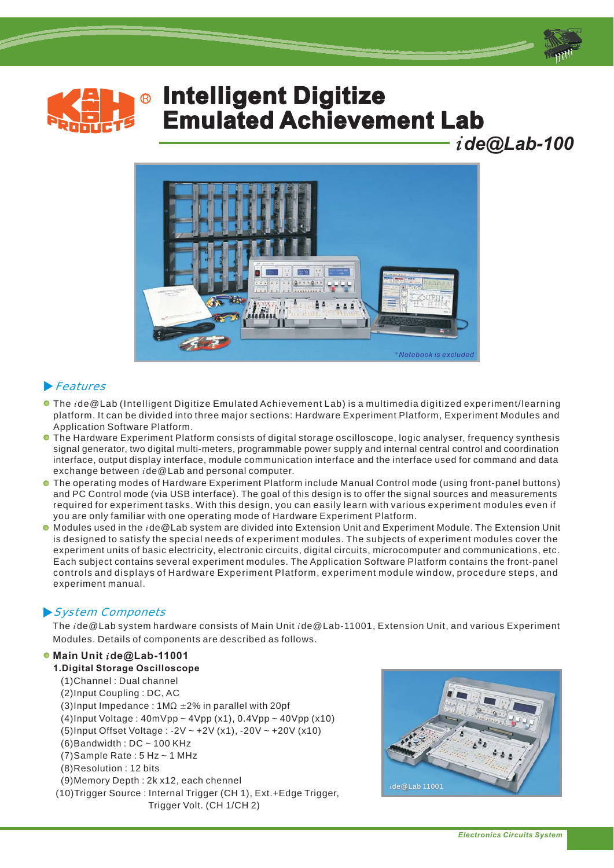







## -Features

- The *i* de@Lab (Intelligent Digitize Emulated Achievement Lab) is a multimedia digitized experiment/learning platform. It can be divided into three major sections: Hardware Experiment Platform, Experiment Modules and Application Software Platform.
- The Hardware Experiment Platform consists of digital storage oscilloscope, logic analyser, frequency synthesis signal generator, two digital multi-meters, programmable power supply and internal central control and coordination interface, output display interface, module communication interface and the interface used for command and data exchange between ide@Lab and personal computer.
- The operating modes of Hardware Experiment Platform include Manual Control mode (using front-panel buttons) and PC Control mode (via USB interface). The goal of this design is to offer the signal sources and measurements required for experiment tasks. With this design, you can easily learn with various experiment modules even if you are only familiar with one operating mode of Hardware Experiment Platform.
- Modules used in the ide@Lab system are divided into Extension Unit and Experiment Module. The Extension Unit is designed to satisfy the special needs of experiment modules. The subjects of experiment modules cover the experiment units of basic electricity, electronic circuits, digital circuits, microcomputer and communications, etc. Each subject contains several experiment modules. The Application Software Platform contains the front-panel controls and displays of Hardware Experiment Platform, experiment module window, procedure steps, and experiment manual.

## System Componets -

The *i* de@Lab system hardware consists of Main Unit *i* de@Lab-11001, Extension Unit, and various Experiment Modules. Details of components are described as follows.

## $\bullet$  **Main Unit ide@Lab-11001**

**1.Digital Storage Oscilloscope** (1)Channel : Dual channel (2)Input Coupling : DC, AC (3)Input Impedance:  $1 \text{M}\Omega \pm 2\%$  in parallel with 20pf (4)Input Voltage : 40mVpp ~ 4Vpp (x1), 0.4Vpp 40Vpp (x10) ~ (5)Input Offset Voltage : -2V ~ +2V (x1), -20V ~ +20V (x10)  $(6)$ Bandwidth : DC ~ 100 KHz (7) Sample Rate : 5 Hz ~ 1 MHz (8)Resolution : 12 bits (9)Memory Depth : 2k x12, each chennel (10)Trigger Source : Internal Trigger (CH 1), Ext.+Edge Trigger, Trigger Volt. (CH 1/CH 2)

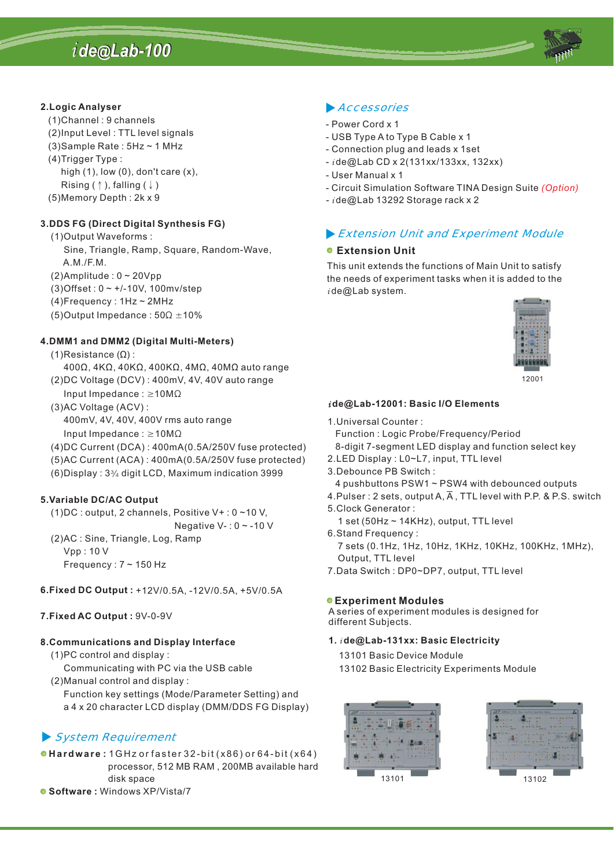# *i de Lab-100 de Lab-100 @@*



## **2.Logic Analyser**

- (1)Channel:9channels
- (2)Input Level : TTL level signals
- (3)Sample Rate : 5Hz ~ 1 MHz
- (4)Trigger Type :
	- high  $(1)$ , low  $(0)$ , don't care  $(x)$ ,
- Rising (  $\uparrow$  ), falling (  $\downarrow$  )
- (5)Memory Depth : 2k x 9

## **DDS FG 3. (Direct Digital Synthesis FG)**

- (1)Output Waveforms :
	- Sine, Triangle, Ramp, Square, Random-Wave, A.M./F.M.
- (2)Amplitude :  $0 \sim 20$ Vpp
- (3)Offset : 0 ~ +/-10V, 100mv/step
- (4)Frequency : 1Hz ~ 2MHz
- (5) Output Impedance:  $50\Omega \pm 10\%$

## **DMM1 and DMM2 4. (Digital Multi-Meters)**

- (1)Resistance (Ω) :
- 400 $\Omega$ , 4K $\Omega$ , 40K $\Omega$ , 400K $\Omega$ , 4M $\Omega$ , 40M $\Omega$  auto range (2)DC Voltage (DCV) : 400mV, 4V, 40V auto range
- Input Impedance :  $\geq 10M\Omega$
- (3)AC Voltage (ACV) : 400mV, 4V, 40V, 400V rms auto range
	- Input Impedance :  $\geq 10M\Omega$
- (4)DC Current (DCA) : 400mA(0.5A/250V fuse protected)
- (5)AC Current (ACA): 400mA(0.5A/250V fuse protected)
- $(6)$ Display:  $3\frac{3}{4}$  digit LCD, Maximum indication 3999

## **5.Variable DC/AC Output**

- (1)DC : output, 2 channels, Positive V+ : 0 ~10 V,
- Negative V- : 0 ~ -10 V (2)AC : Sine, Triangle, Log, Ramp
	- Vpp : 10 V
	- Frequency : 7 ~ 150 Hz
- **6.Fixed DC Output :** +12V/0.5A, -12V/0.5A, +5V/0.5A

## **7.Fixed AC Output :** 9V-0-9V

## **8.Communications and Display Interface**

- (1)PC control and display : Communicating with PC via the USB cable
- (2)Manual control and display : Function key settings (Mode/Parameter Setting) and a 4 x 20 character LCD display (DMM/DDS FG Display)

## - System Requirement

**Hardware:** 1GHz orfaster 32-bit (x86) or 64-bit (x64) **Software :** Windows XP/Vista/7 processor, 512 MB RAM , 200MB available hard disk space

## **Accessories**

- Power Cord x 1
- USB Type A to Type B Cable x 1
- Connection plug and leads x 1set
- de@Lab CD x 2(131xx/133xx, 132xx) *i*
- User Manual x 1
- Circuit Simulation Software TINA Design Suite *(Option)*
- *- i* de@Lab 13292 Storage rack x 2

## -Extension Unit and Experiment Module

## **Extension Unit**

This unit extends the functions of Main Unit to satisfy the needs of experiment tasks when it is added to the *i* de@Lab system.



12001

## *i* **de@Lab-12001: Basic I/O Elements**

1.Universal Counter :

Function : Logic Probe/Frequency/Period

8-digit 7-segment LED display and function select key

- 2.LED Display : L0~L7, input, TTL level
- 3.Debounce PB Switch :
- 4 pushbuttons PSW1 ~ PSW4 with debounced outputs
- 4.Pulser : 2 sets, output A, A , TTL level with P.P. & P.S. switch
- 5.Clock Generator :
	- 1 set (50Hz  $\sim$  14KHz), output, TTL level
- 6.Stand Frequency :

7 sets (0.1Hz, 1Hz, 10Hz, 1KHz, 10KHz, 100KHz, 1MHz), Output, TTL level

7.Data Switch : DP0~DP7, output, TTL level

## **Experiment Modules**

A series of experiment modules is designed for different Subjects.

## **1. de@Lab-131xx: Basic Electricity** *i*

- 13101 Basic Device Module
- 13102 Basic Electricity Experiments Module



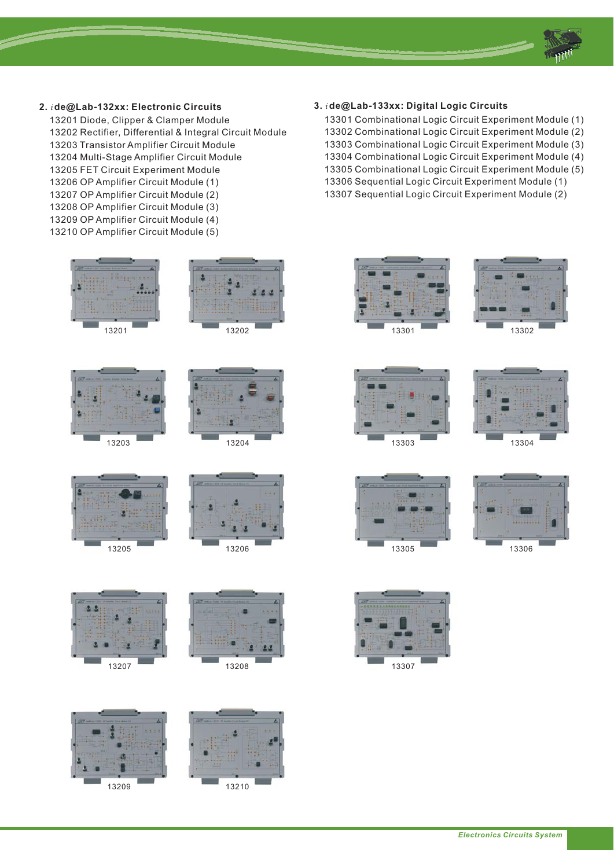

- **2. de@Lab-132xx: Electronic Circuits** *i*
	- 13201 Diode, Clipper & Clamper Module 13202 Rectifier, Differential & Integral Circuit Module 13203 Transistor Amplifier Circuit Module 13204 Multi-Stage Amplifier Circuit Module 13205 FET Circuit Experiment Module 13206 OP Amplifier Circuit Module (1) 13207 OP Amplifier Circuit Module (2) 13208 OP Amplifier Circuit Module (3) 13209 OP Amplifier Circuit Module (4)
	- 13210 OP Amplifier Circuit Module (5)







- **3. de@Lab-133xx: Digital Logic Circuits** *i*
	- 13301 Combinational Logic Circuit Experiment Module (1) 13302 Combinational Logic Circuit Experiment Module (2) 13303 Combinational Logic Circuit Experiment Module (3) 13304 Combinational Logic Circuit Experiment Module (4) 13305 Combinational Logic Circuit Experiment Module (5) 13306 Sequential Logic Circuit Experiment Module (1) 13307 Sequential Logic Circuit Experiment Module (2)